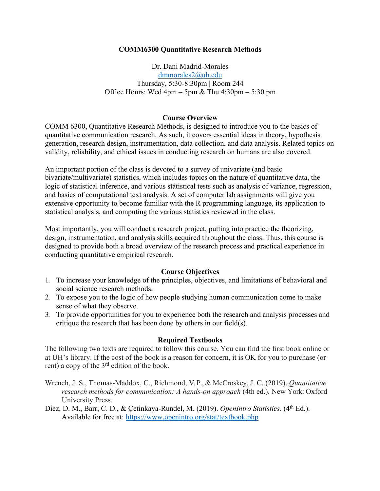## **COMM6300 Quantitative Research Methods**

Dr. Dani Madrid-Morales dmmorales2@uh.edu Thursday, 5:30-8:30pm | Room 244 Office Hours: Wed  $4pm - 5pm$  & Thu  $4:30pm - 5:30pm$ 

## **Course Overview**

COMM 6300, Quantitative Research Methods, is designed to introduce you to the basics of quantitative communication research. As such, it covers essential ideas in theory, hypothesis generation, research design, instrumentation, data collection, and data analysis. Related topics on validity, reliability, and ethical issues in conducting research on humans are also covered.

An important portion of the class is devoted to a survey of univariate (and basic bivariate/multivariate) statistics, which includes topics on the nature of quantitative data, the logic of statistical inference, and various statistical tests such as analysis of variance, regression, and basics of computational text analysis. A set of computer lab assignments will give you extensive opportunity to become familiar with the R programming language, its application to statistical analysis, and computing the various statistics reviewed in the class.

Most importantly, you will conduct a research project, putting into practice the theorizing, design, instrumentation, and analysis skills acquired throughout the class. Thus, this course is designed to provide both a broad overview of the research process and practical experience in conducting quantitative empirical research.

## **Course Objectives**

- 1. To increase your knowledge of the principles, objectives, and limitations of behavioral and social science research methods.
- 2. To expose you to the logic of how people studying human communication come to make sense of what they observe.
- 3. To provide opportunities for you to experience both the research and analysis processes and critique the research that has been done by others in our field(s).

## **Required Textbooks**

The following two texts are required to follow this course. You can find the first book online or at UH's library. If the cost of the book is a reason for concern, it is OK for you to purchase (or rent) a copy of the 3rd edition of the book.

- Wrench, J. S., Thomas-Maddox, C., Richmond, V. P., & McCroskey, J. C. (2019). *Quantitative research methods for communication: A hands-on approach* (4th ed.). New York: Oxford University Press.
- Diez, D. M., Barr, C. D., & Çetinkaya-Rundel, M. (2019). *OpenIntro Statistics*. (4<sup>th</sup> Ed.). Available for free at: https://www.openintro.org/stat/textbook.php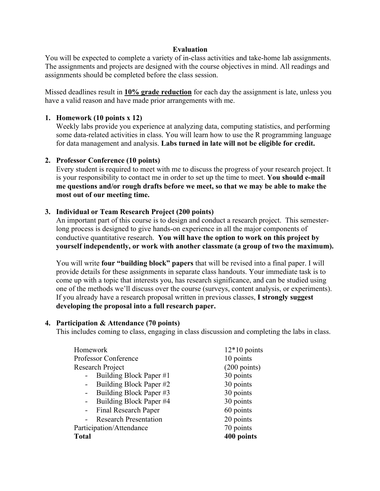## **Evaluation**

You will be expected to complete a variety of in-class activities and take-home lab assignments. The assignments and projects are designed with the course objectives in mind. All readings and assignments should be completed before the class session.

Missed deadlines result in **10% grade reduction** for each day the assignment is late, unless you have a valid reason and have made prior arrangements with me.

#### **1. Homework (10 points x 12)**

Weekly labs provide you experience at analyzing data, computing statistics, and performing some data-related activities in class. You will learn how to use the R programming language for data management and analysis. **Labs turned in late will not be eligible for credit.**

## **2. Professor Conference (10 points)**

Every student is required to meet with me to discuss the progress of your research project. It is your responsibility to contact me in order to set up the time to meet. **You should e-mail me questions and/or rough drafts before we meet, so that we may be able to make the most out of our meeting time.**

#### **3. Individual or Team Research Project (200 points)**

An important part of this course is to design and conduct a research project. This semesterlong process is designed to give hands-on experience in all the major components of conductive quantitative research. **You will have the option to work on this project by yourself independently, or work with another classmate (a group of two the maximum).**

You will write **four "building block" papers** that will be revised into a final paper. I will provide details for these assignments in separate class handouts. Your immediate task is to come up with a topic that interests you, has research significance, and can be studied using one of the methods we'll discuss over the course (surveys, content analysis, or experiments). If you already have a research proposal written in previous classes, **I strongly suggest developing the proposal into a full research paper.**

#### **4. Participation & Attendance (70 points)**

This includes coming to class, engaging in class discussion and completing the labs in class.

| Homework                     | $12*10$ points         |  |  |
|------------------------------|------------------------|--|--|
| <b>Professor Conference</b>  | 10 points              |  |  |
| Research Project             | $(200 \text{ points})$ |  |  |
| Building Block Paper #1      | 30 points              |  |  |
| Building Block Paper #2      | 30 points              |  |  |
| Building Block Paper #3      | 30 points              |  |  |
| Building Block Paper #4      | 30 points              |  |  |
| <b>Final Research Paper</b>  | 60 points              |  |  |
| <b>Research Presentation</b> | 20 points              |  |  |
| Participation/Attendance     | 70 points              |  |  |
| <b>Total</b>                 | 400 points             |  |  |
|                              |                        |  |  |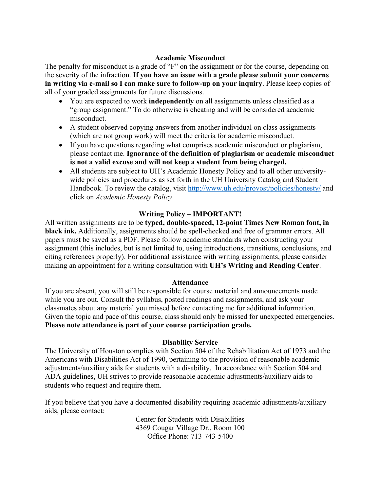# **Academic Misconduct**

The penalty for misconduct is a grade of "F" on the assignment or for the course, depending on the severity of the infraction. **If you have an issue with a grade please submit your concerns in writing via e-mail so I can make sure to follow-up on your inquiry**. Please keep copies of all of your graded assignments for future discussions.

- You are expected to work **independently** on all assignments unless classified as a "group assignment." To do otherwise is cheating and will be considered academic misconduct.
- A student observed copying answers from another individual on class assignments (which are not group work) will meet the criteria for academic misconduct.
- If you have questions regarding what comprises academic misconduct or plagiarism, please contact me. **Ignorance of the definition of plagiarism or academic misconduct is not a valid excuse and will not keep a student from being charged.**
- All students are subject to UH's Academic Honesty Policy and to all other universitywide policies and procedures as set forth in the UH University Catalog and Student Handbook. To review the catalog, visit http://www.uh.edu/provost/policies/honesty/ and click on *Academic Honesty Policy*.

# **Writing Policy – IMPORTANT!**

All written assignments are to be **typed, double-spaced, 12-point Times New Roman font, in black ink.** Additionally, assignments should be spell-checked and free of grammar errors. All papers must be saved as a PDF. Please follow academic standards when constructing your assignment (this includes, but is not limited to, using introductions, transitions, conclusions, and citing references properly). For additional assistance with writing assignments, please consider making an appointment for a writing consultation with **UH's Writing and Reading Center**.

#### **Attendance**

If you are absent, you will still be responsible for course material and announcements made while you are out. Consult the syllabus, posted readings and assignments, and ask your classmates about any material you missed before contacting me for additional information. Given the topic and pace of this course, class should only be missed for unexpected emergencies. **Please note attendance is part of your course participation grade.**

#### **Disability Service**

The University of Houston complies with Section 504 of the Rehabilitation Act of 1973 and the Americans with Disabilities Act of 1990, pertaining to the provision of reasonable academic adjustments/auxiliary aids for students with a disability. In accordance with Section 504 and ADA guidelines, UH strives to provide reasonable academic adjustments/auxiliary aids to students who request and require them.

If you believe that you have a documented disability requiring academic adjustments/auxiliary aids, please contact:

> Center for Students with Disabilities 4369 Cougar Village Dr., Room 100 Office Phone: 713-743-5400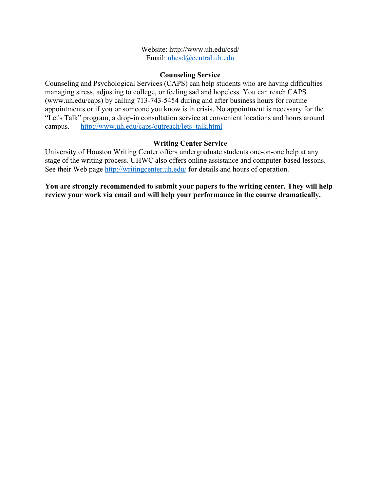Website: http://www.uh.edu/csd/ Email: uhcsd@central.uh.edu

## **Counseling Service**

Counseling and Psychological Services (CAPS) can help students who are having difficulties managing stress, adjusting to college, or feeling sad and hopeless. You can reach CAPS (www.uh.edu/caps) by calling 713-743-5454 during and after business hours for routine appointments or if you or someone you know is in crisis. No appointment is necessary for the "Let's Talk" program, a drop-in consultation service at convenient locations and hours around campus. http://www.uh.edu/caps/outreach/lets\_talk.html

## **Writing Center Service**

University of Houston Writing Center offers undergraduate students one-on-one help at any stage of the writing process. UHWC also offers online assistance and computer-based lessons. See their Web page http://writingcenter.uh.edu/ for details and hours of operation.

**You are strongly recommended to submit your papers to the writing center. They will help review your work via email and will help your performance in the course dramatically.**